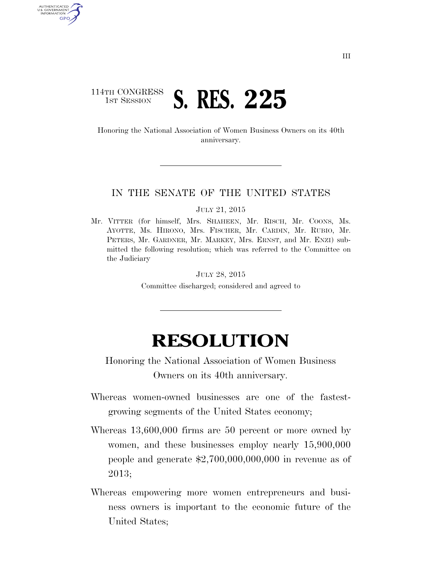## 114TH CONGRESS **1ST SESSION S. RES. 225**

AUTHENTICATED U.S. GOVERNMENT GPO

> Honoring the National Association of Women Business Owners on its 40th anniversary.

## IN THE SENATE OF THE UNITED STATES

JULY 21, 2015

Mr. VITTER (for himself, Mrs. SHAHEEN, Mr. RISCH, Mr. COONS, Ms. AYOTTE, Ms. HIRONO, Mrs. FISCHER, Mr. CARDIN, Mr. RUBIO, Mr. PETERS, Mr. GARDNER, Mr. MARKEY, Mrs. ERNST, and Mr. ENZI) submitted the following resolution; which was referred to the Committee on the Judiciary

## JULY 28, 2015 Committee discharged; considered and agreed to

## **RESOLUTION**

Honoring the National Association of Women Business Owners on its 40th anniversary.

- Whereas women-owned businesses are one of the fastestgrowing segments of the United States economy;
- Whereas 13,600,000 firms are 50 percent or more owned by women, and these businesses employ nearly 15,900,000 people and generate \$2,700,000,000,000 in revenue as of 2013;
- Whereas empowering more women entrepreneurs and business owners is important to the economic future of the United States;